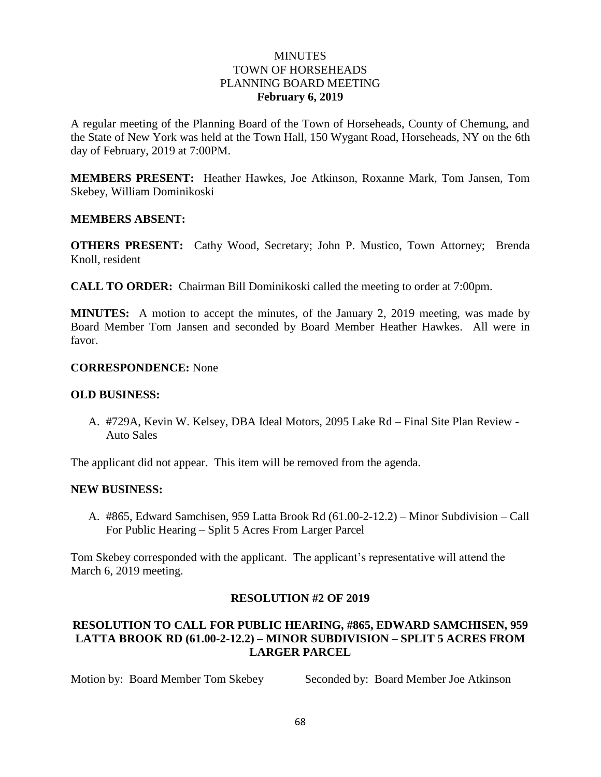## **MINUTES** TOWN OF HORSEHEADS PLANNING BOARD MEETING **February 6, 2019**

A regular meeting of the Planning Board of the Town of Horseheads, County of Chemung, and the State of New York was held at the Town Hall, 150 Wygant Road, Horseheads, NY on the 6th day of February, 2019 at 7:00PM.

**MEMBERS PRESENT:** Heather Hawkes, Joe Atkinson, Roxanne Mark, Tom Jansen, Tom Skebey, William Dominikoski

### **MEMBERS ABSENT:**

**OTHERS PRESENT:** Cathy Wood, Secretary; John P. Mustico, Town Attorney; Brenda Knoll, resident

**CALL TO ORDER:** Chairman Bill Dominikoski called the meeting to order at 7:00pm.

**MINUTES:** A motion to accept the minutes, of the January 2, 2019 meeting, was made by Board Member Tom Jansen and seconded by Board Member Heather Hawkes. All were in favor.

#### **CORRESPONDENCE:** None

#### **OLD BUSINESS:**

A. #729A, Kevin W. Kelsey, DBA Ideal Motors, 2095 Lake Rd – Final Site Plan Review - Auto Sales

The applicant did not appear. This item will be removed from the agenda.

#### **NEW BUSINESS:**

A. #865, Edward Samchisen, 959 Latta Brook Rd (61.00-2-12.2) – Minor Subdivision – Call For Public Hearing – Split 5 Acres From Larger Parcel

Tom Skebey corresponded with the applicant. The applicant's representative will attend the March 6, 2019 meeting.

## **RESOLUTION #2 OF 2019**

# **RESOLUTION TO CALL FOR PUBLIC HEARING, #865, EDWARD SAMCHISEN, 959 LATTA BROOK RD (61.00-2-12.2) – MINOR SUBDIVISION – SPLIT 5 ACRES FROM LARGER PARCEL**

Motion by: Board Member Tom Skebey Seconded by: Board Member Joe Atkinson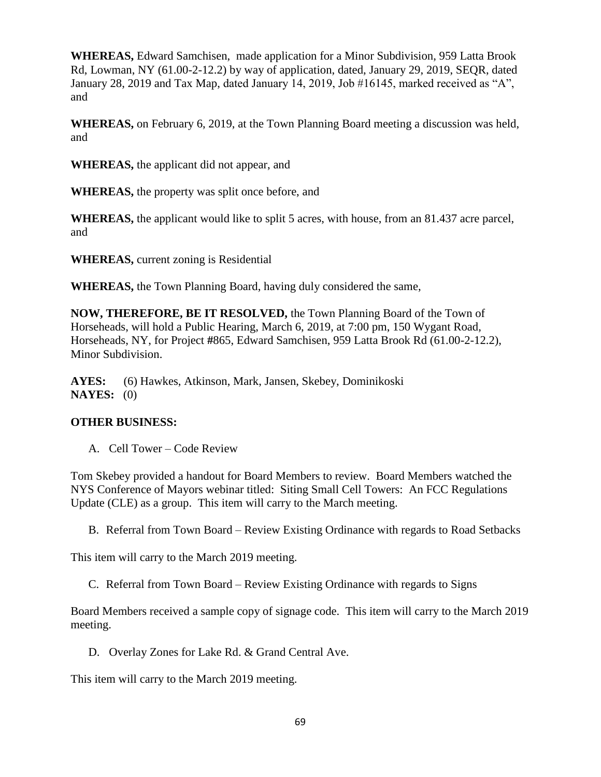**WHEREAS,** Edward Samchisen, made application for a Minor Subdivision, 959 Latta Brook Rd, Lowman, NY (61.00-2-12.2) by way of application, dated, January 29, 2019, SEQR, dated January 28, 2019 and Tax Map, dated January 14, 2019, Job #16145, marked received as "A", and

**WHEREAS,** on February 6, 2019, at the Town Planning Board meeting a discussion was held, and

**WHEREAS,** the applicant did not appear, and

**WHEREAS,** the property was split once before, and

**WHEREAS,** the applicant would like to split 5 acres, with house, from an 81.437 acre parcel, and

**WHEREAS,** current zoning is Residential

**WHEREAS,** the Town Planning Board, having duly considered the same,

**NOW, THEREFORE, BE IT RESOLVED,** the Town Planning Board of the Town of Horseheads, will hold a Public Hearing, March 6, 2019, at 7:00 pm, 150 Wygant Road, Horseheads, NY, for Project **#**865, Edward Samchisen, 959 Latta Brook Rd (61.00-2-12.2), Minor Subdivision.

**AYES:** (6) Hawkes, Atkinson, Mark, Jansen, Skebey, Dominikoski **NAYES:** (0)

## **OTHER BUSINESS:**

A. Cell Tower – Code Review

Tom Skebey provided a handout for Board Members to review. Board Members watched the NYS Conference of Mayors webinar titled: Siting Small Cell Towers: An FCC Regulations Update (CLE) as a group. This item will carry to the March meeting.

B. Referral from Town Board – Review Existing Ordinance with regards to Road Setbacks

This item will carry to the March 2019 meeting.

C. Referral from Town Board – Review Existing Ordinance with regards to Signs

Board Members received a sample copy of signage code. This item will carry to the March 2019 meeting.

D. Overlay Zones for Lake Rd. & Grand Central Ave.

This item will carry to the March 2019 meeting.